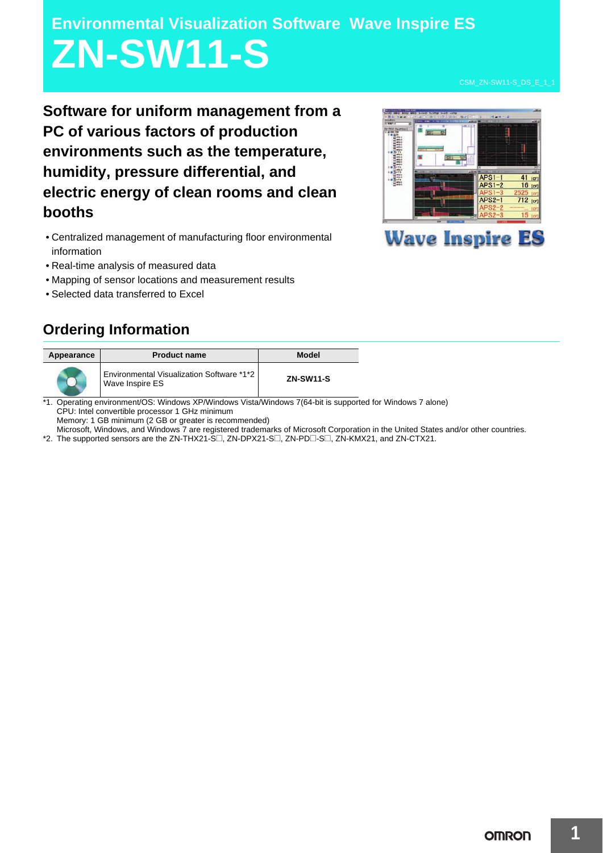# **Environmental Visualization Software Wave Inspire ES ZN-SW11-S**

**Software for uniform management from a PC of various factors of production environments such as the temperature, humidity, pressure differential, and electric energy of clean rooms and clean booths**

- Centralized management of manufacturing floor environmental information
- Real-time analysis of measured data
- Mapping of sensor locations and measurement results
- Selected data transferred to Excel

## APS1- $16$  tor  $APS2-1$ 712 **Wave Inspire ES**

### **Ordering Information**

| Appearance | <b>Product name</b>                                          | Model            |
|------------|--------------------------------------------------------------|------------------|
|            | Environmental Visualization Software *1*2<br>Wave Inspire ES | <b>ZN-SW11-S</b> |

\*1. Operating environment/OS: Windows XP/Windows Vista/Windows 7(64-bit is supported for Windows 7 alone) CPU: Intel convertible processor 1 GHz minimum Memory: 1 GB minimum (2 GB or greater is recommended)

Microsoft, Windows, and Windows 7 are registered trademarks of Microsoft Corporation in the United States and/or other countries.

\*2. The supported sensors are the ZN-THX21-S $\square$ , ZN-DPX21-S $\square$ , ZN-PD $\square$ -S $\square$ , ZN-KMX21, and ZN-CTX21.